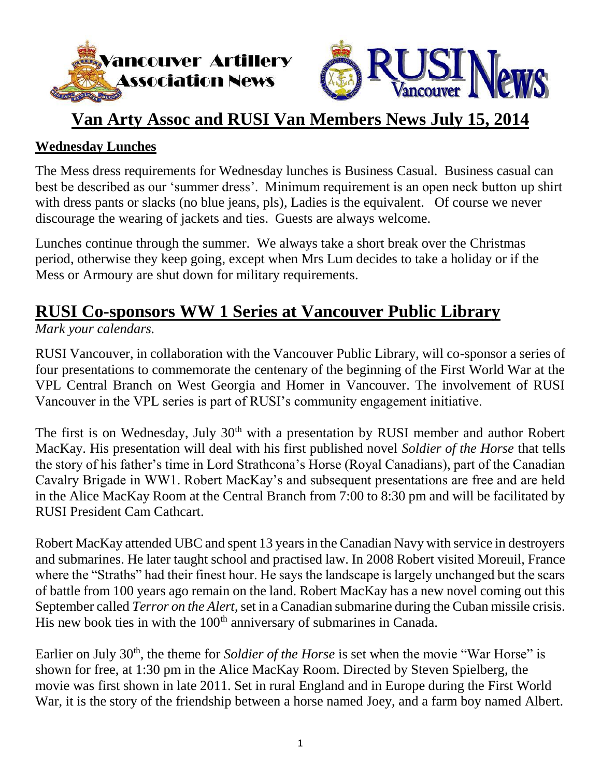



### **Van Arty Assoc and RUSI Van Members News July 15, 2014**

#### **Wednesday Lunches**

The Mess dress requirements for Wednesday lunches is Business Casual. Business casual can best be described as our 'summer dress'. Minimum requirement is an open neck button up shirt with dress pants or slacks (no blue jeans, pls), Ladies is the equivalent. Of course we never discourage the wearing of jackets and ties. Guests are always welcome.

Lunches continue through the summer. We always take a short break over the Christmas period, otherwise they keep going, except when Mrs Lum decides to take a holiday or if the Mess or Armoury are shut down for military requirements.

# **RUSI Co-sponsors WW 1 Series at Vancouver Public Library**

#### *Mark your calendars.*

RUSI Vancouver, in collaboration with the Vancouver Public Library, will co-sponsor a series of four presentations to commemorate the centenary of the beginning of the First World War at the VPL Central Branch on West Georgia and Homer in Vancouver. The involvement of RUSI Vancouver in the VPL series is part of RUSI's community engagement initiative.

The first is on Wednesday, July 30<sup>th</sup> with a presentation by RUSI member and author Robert MacKay. His presentation will deal with his first published novel *Soldier of the Horse* that tells the story of his father's time in Lord Strathcona's Horse (Royal Canadians), part of the Canadian Cavalry Brigade in WW1. Robert MacKay's and subsequent presentations are free and are held in the Alice MacKay Room at the Central Branch from 7:00 to 8:30 pm and will be facilitated by RUSI President Cam Cathcart.

Robert MacKay attended UBC and spent 13 years in the Canadian Navy with service in destroyers and submarines. He later taught school and practised law. In 2008 Robert visited Moreuil, France where the "Straths" had their finest hour. He says the landscape is largely unchanged but the scars of battle from 100 years ago remain on the land. Robert MacKay has a new novel coming out this September called *Terror on the Alert*, set in a Canadian submarine during the Cuban missile crisis. His new book ties in with the 100<sup>th</sup> anniversary of submarines in Canada.

Earlier on July 30<sup>th</sup>, the theme for *Soldier of the Horse* is set when the movie "War Horse" is shown for free, at 1:30 pm in the Alice MacKay Room. Directed by Steven Spielberg, the movie was first shown in late 2011. Set in rural England and in Europe during the First World War, it is the story of the friendship between a horse named Joey, and a farm boy named Albert.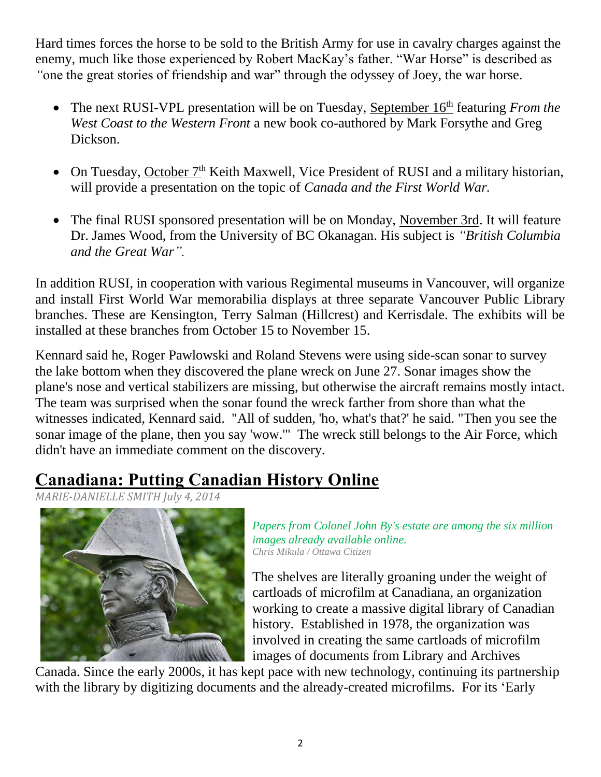Hard times forces the horse to be sold to the British Army for use in cavalry charges against the enemy, much like those experienced by Robert MacKay's father. "War Horse" is described as *"*one the great stories of friendship and war" through the odyssey of Joey, the war horse.

- The next RUSI-VPL presentation will be on Tuesday, September 16<sup>th</sup> featuring *From the West Coast to the Western Front* a new book co-authored by Mark Forsythe and Greg Dickson.
- On Tuesday, October  $7<sup>th</sup>$  Keith Maxwell, Vice President of RUSI and a military historian, will provide a presentation on the topic of *Canada and the First World War.*
- The final RUSI sponsored presentation will be on Monday, November 3rd. It will feature Dr. James Wood, from the University of BC Okanagan. His subject is *["British Columbia](http://www.vpl.ca/calendar/index.php/calendar/progid/48326)  [and the Great War"](http://www.vpl.ca/calendar/index.php/calendar/progid/48326).*

In addition RUSI, in cooperation with various Regimental museums in Vancouver, will organize and install First World War memorabilia displays at three separate Vancouver Public Library branches. These are Kensington, Terry Salman (Hillcrest) and Kerrisdale. The exhibits will be installed at these branches from October 15 to November 15.

Kennard said he, Roger Pawlowski and Roland Stevens were using side-scan sonar to survey the lake bottom when they discovered the plane wreck on June 27. Sonar images show the plane's nose and vertical stabilizers are missing, but otherwise the aircraft remains mostly intact. The team was surprised when the sonar found the wreck farther from shore than what the witnesses indicated, Kennard said. "All of sudden, 'ho, what's that?' he said. "Then you see the sonar image of the plane, then you say 'wow.'" The wreck still belongs to the Air Force, which didn't have an immediate comment on the discovery.

## **Canadiana: Putting Canadian History Online**

*[MARIE-DANIELLE](http://ottawacitizen.com/author/mariedaniellesmith) SMITH July 4, 2014*



*Papers from Colonel John By's estate are among the six million images already available online. Chris Mikula / Ottawa Citizen*

The shelves are literally groaning under the weight of cartloads of microfilm at Canadiana, an organization working to create a massive digital library of Canadian history. Established in 1978, the organization was involved in creating the same cartloads of microfilm images of documents from Library and Archives

Canada. Since the early 2000s, it has kept pace with new technology, continuing its partnership with the library by digitizing documents and the already-created microfilms. For its 'Early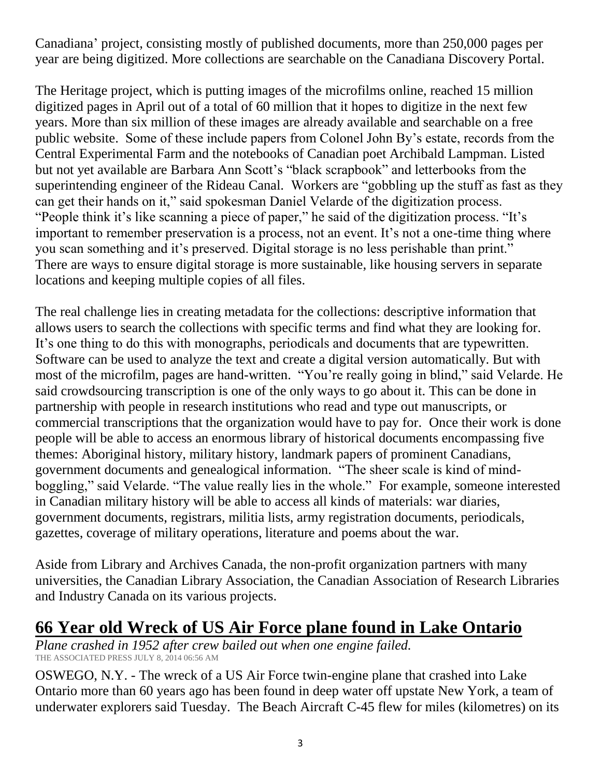Canadiana' project, consisting mostly of published documents, more than 250,000 pages per year are being digitized. More collections are searchable on the Canadiana Discovery Portal.

The Heritage project, which is putting images of the microfilms online, reached 15 million digitized pages in April out of a total of 60 million that it hopes to digitize in the next few years. More than six million of these images are already available and searchable on a free public website. Some of these include papers from Colonel John By's estate, records from the Central Experimental Farm and the notebooks of Canadian poet Archibald Lampman. Listed but not yet available are Barbara Ann Scott's "black scrapbook" and letterbooks from the superintending engineer of the Rideau Canal. Workers are "gobbling up the stuff as fast as they can get their hands on it," said spokesman Daniel Velarde of the digitization process. "People think it's like scanning a piece of paper," he said of the digitization process. "It's important to remember preservation is a process, not an event. It's not a one-time thing where you scan something and it's preserved. Digital storage is no less perishable than print." There are ways to ensure digital storage is more sustainable, like housing servers in separate locations and keeping multiple copies of all files.

The real challenge lies in creating metadata for the collections: descriptive information that allows users to search the collections with specific terms and find what they are looking for. It's one thing to do this with monographs, periodicals and documents that are typewritten. Software can be used to analyze the text and create a digital version automatically. But with most of the microfilm, pages are hand-written. "You're really going in blind," said Velarde. He said crowdsourcing transcription is one of the only ways to go about it. This can be done in partnership with people in research institutions who read and type out manuscripts, or commercial transcriptions that the organization would have to pay for. Once their work is done people will be able to access an enormous library of historical documents encompassing five themes: Aboriginal history, military history, landmark papers of prominent Canadians, government documents and genealogical information. "The sheer scale is kind of mindboggling," said Velarde. "The value really lies in the whole." For example, someone interested in Canadian military history will be able to access all kinds of materials: war diaries, government documents, registrars, militia lists, army registration documents, periodicals, gazettes, coverage of military operations, literature and poems about the war.

Aside from Library and Archives Canada, the non-profit organization partners with many universities, the Canadian Library Association, the Canadian Association of Research Libraries and Industry Canada on its various projects.

### **66 Year old Wreck of US Air Force plane found in Lake Ontario**

*Plane crashed in 1952 after crew bailed out when one engine failed.* THE ASSOCIATED PRESS JULY 8, 2014 06:56 AM

OSWEGO, N.Y. - The wreck of a US Air Force twin-engine plane that crashed into Lake Ontario more than 60 years ago has been found in deep water off upstate New York, a team of underwater explorers said Tuesday. The Beach Aircraft C-45 flew for miles (kilometres) on its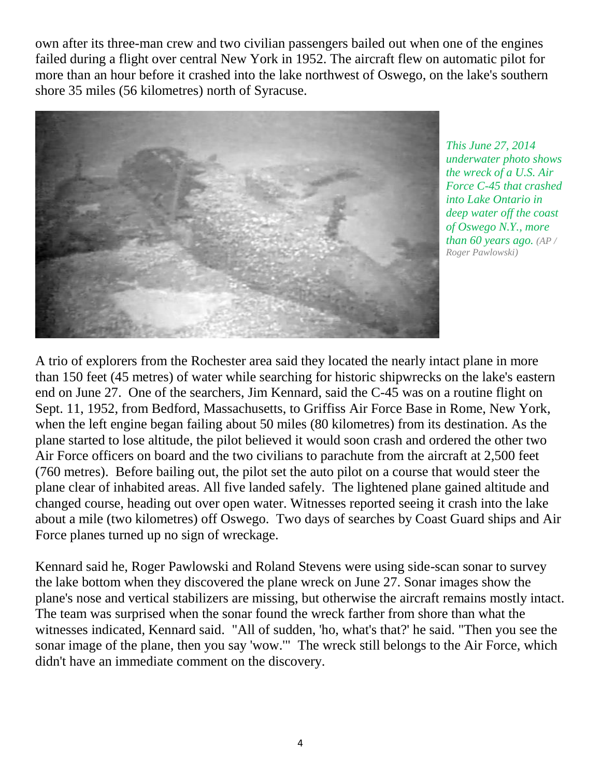own after its three-man crew and two civilian passengers bailed out when one of the engines failed during a flight over central New York in 1952. The aircraft flew on automatic pilot for more than an hour before it crashed into the lake northwest of Oswego, on the lake's southern shore 35 miles (56 kilometres) north of Syracuse.



*This June 27, 2014 underwater photo shows the wreck of a U.S. Air Force C-45 that crashed into Lake Ontario in deep water off the coast of Oswego N.Y., more than 60 years ago. (AP / Roger Pawlowski)*

A trio of explorers from the Rochester area said they located the nearly intact plane in more than 150 feet (45 metres) of water while searching for historic shipwrecks on the lake's eastern end on June 27. One of the searchers, Jim Kennard, said the C-45 was on a routine flight on Sept. 11, 1952, from Bedford, Massachusetts, to Griffiss Air Force Base in Rome, New York, when the left engine began failing about 50 miles (80 kilometres) from its destination. As the plane started to lose altitude, the pilot believed it would soon crash and ordered the other two Air Force officers on board and the two civilians to parachute from the aircraft at 2,500 feet (760 metres). Before bailing out, the pilot set the auto pilot on a course that would steer the plane clear of inhabited areas. All five landed safely. The lightened plane gained altitude and changed course, heading out over open water. Witnesses reported seeing it crash into the lake about a mile (two kilometres) off Oswego. Two days of searches by Coast Guard ships and Air Force planes turned up no sign of wreckage.

Kennard said he, Roger Pawlowski and Roland Stevens were using side-scan sonar to survey the lake bottom when they discovered the plane wreck on June 27. Sonar images show the plane's nose and vertical stabilizers are missing, but otherwise the aircraft remains mostly intact. The team was surprised when the sonar found the wreck farther from shore than what the witnesses indicated, Kennard said. "All of sudden, 'ho, what's that?' he said. "Then you see the sonar image of the plane, then you say 'wow.'" The wreck still belongs to the Air Force, which didn't have an immediate comment on the discovery.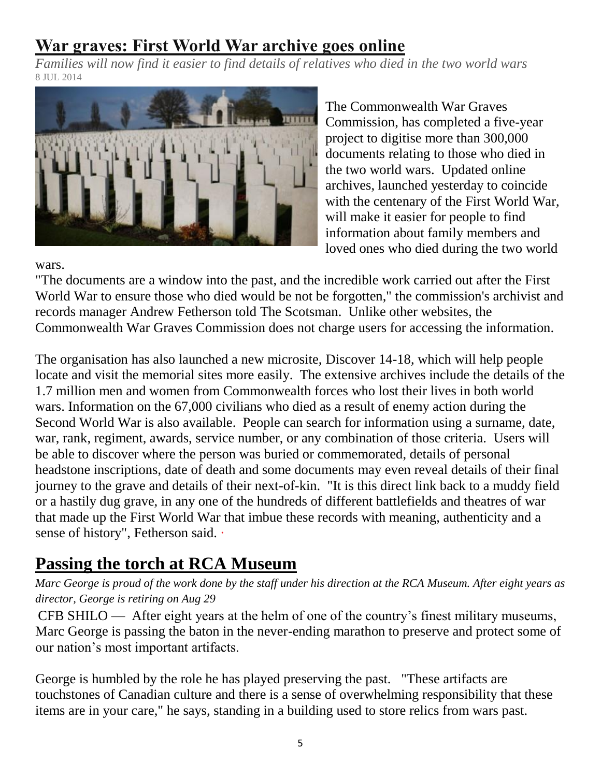## **War graves: First World War archive goes online**

*Families will now find it easier to find details of relatives who died in the two world wars* 8 JUL 2014



The [Commonwealth](http://www.cwgc.org/) War Graves [Commission,](http://www.cwgc.org/) has completed a five-year project to digitise more than 300,000 documents relating to those who died in the two world wars. Updated online archives, launched yesterday to coincide with the centenary of the First World War, will make it easier for people to find information about family members and loved ones who died during the two world

wars.

"The documents are a window into the past, and the incredible work carried out after the First World War to ensure those who died would be not be forgotten," the commission's archivist and records manager Andrew Fetherson told The Scotsman. Unlike other websites, the Commonwealth War Graves Commission does not charge users for accessing the information.

The organisation has also launched a new microsite, Discover 14-18, which will help people locate and visit the memorial sites more easily. The extensive archives include the details of the 1.7 million men and women from Commonwealth forces who lost their lives in both world wars. Information on the 67,000 civilians who died as a result of enemy action during the Second World War is also available. People can search for information using a surname, date, war, rank, regiment, awards, service number, or any combination of those criteria. Users will be able to discover where the person was buried or commemorated, details of personal headstone inscriptions, date of death and some documents may even reveal details of their final journey to the grave and details of their next-of-kin. "It is this direct link back to a muddy field or a hastily dug grave, in any one of the hundreds of different battlefields and theatres of war that made up the First World War that imbue these records with meaning, authenticity and a sense of history", Fetherson said. ·

# **Passing the torch at RCA Museum**

*Marc George is proud of the work done by the staff under his direction at the RCA Museum. After eight years as director, George is retiring on Aug 29*

CFB SHILO — After eight years at the helm of one of the country's finest military museums, Marc George is passing the baton in the never-ending marathon to preserve and protect some of our nation's most important artifacts.

George is humbled by the role he has played preserving the past. "These artifacts are touchstones of Canadian culture and there is a sense of overwhelming responsibility that these items are in your care," he says, standing in a building used to store relics from wars past.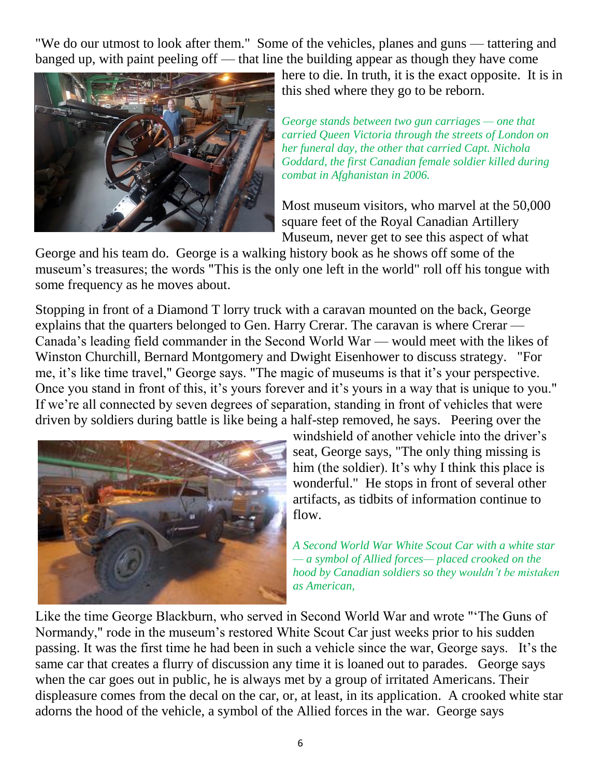"We do our utmost to look after them." Some of the vehicles, planes and guns — tattering and banged up, with paint peeling off — that line the building appear as though they have come



here to die. In truth, it is the exact opposite. It is in this shed where they go to be reborn.

*George stands between two gun carriages — one that carried Queen Victoria through the streets of London on her funeral day, the other that carried Capt. Nichola Goddard, the first Canadian female soldier killed during combat in Afghanistan in 2006.*

Most museum visitors, who marvel at the 50,000 square feet of the Royal Canadian Artillery Museum, never get to see this aspect of what

George and his team do. George is a walking history book as he shows off some of the museum's treasures; the words "This is the only one left in the world" roll off his tongue with some frequency as he moves about.

Stopping in front of a Diamond T lorry truck with a caravan mounted on the back, George explains that the quarters belonged to Gen. Harry Crerar. The caravan is where Crerar — Canada's leading field commander in the Second World War — would meet with the likes of Winston Churchill, Bernard Montgomery and Dwight Eisenhower to discuss strategy. "For me, it's like time travel," George says. "The magic of museums is that it's your perspective. Once you stand in front of this, it's yours forever and it's yours in a way that is unique to you." If we're all connected by seven degrees of separation, standing in front of vehicles that were driven by soldiers during battle is like being a half-step removed, he says. Peering over the



windshield of another vehicle into the driver's seat, George says, "The only thing missing is him (the soldier). It's why I think this place is wonderful." He stops in front of several other artifacts, as tidbits of information continue to flow.

*A Second World War White Scout Car with a white star — a symbol of Allied forces— placed crooked on the hood by Canadian soldiers so they wouldn't be mistaken as American,*

Like the time George Blackburn, who served in Second World War and wrote "'The Guns of Normandy," rode in the museum's restored White Scout Car just weeks prior to his sudden passing. It was the first time he had been in such a vehicle since the war, George says. It's the same car that creates a flurry of discussion any time it is loaned out to parades. George says when the car goes out in public, he is always met by a group of irritated Americans. Their displeasure comes from the decal on the car, or, at least, in its application. A crooked white star adorns the hood of the vehicle, a symbol of the Allied forces in the war. George says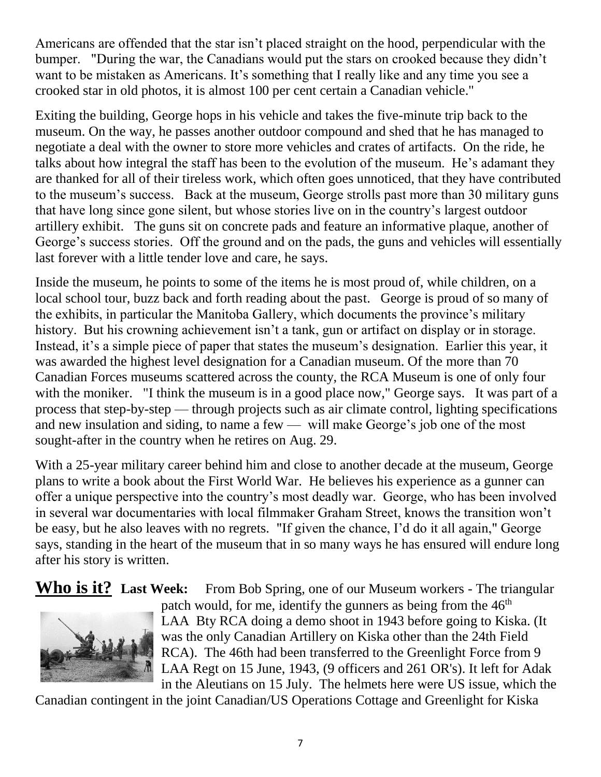Americans are offended that the star isn't placed straight on the hood, perpendicular with the bumper. "During the war, the Canadians would put the stars on crooked because they didn't want to be mistaken as Americans. It's something that I really like and any time you see a crooked star in old photos, it is almost 100 per cent certain a Canadian vehicle."

Exiting the building, George hops in his vehicle and takes the five-minute trip back to the museum. On the way, he passes another outdoor compound and shed that he has managed to negotiate a deal with the owner to store more vehicles and crates of artifacts. On the ride, he talks about how integral the staff has been to the evolution of the museum. He's adamant they are thanked for all of their tireless work, which often goes unnoticed, that they have contributed to the museum's success. Back at the museum, George strolls past more than 30 military guns that have long since gone silent, but whose stories live on in the country's largest outdoor artillery exhibit. The guns sit on concrete pads and feature an informative plaque, another of George's success stories. Off the ground and on the pads, the guns and vehicles will essentially last forever with a little tender love and care, he says.

Inside the museum, he points to some of the items he is most proud of, while children, on a local school tour, buzz back and forth reading about the past. George is proud of so many of the exhibits, in particular the Manitoba Gallery, which documents the province's military history. But his crowning achievement isn't a tank, gun or artifact on display or in storage. Instead, it's a simple piece of paper that states the museum's designation. Earlier this year, it was awarded the highest level designation for a Canadian museum. Of the more than 70 Canadian Forces museums scattered across the county, the RCA Museum is one of only four with the moniker. "I think the museum is in a good place now," George says. It was part of a process that step-by-step — through projects such as air climate control, lighting specifications and new insulation and siding, to name a few — will make George's job one of the most sought-after in the country when he retires on Aug. 29.

With a 25-year military career behind him and close to another decade at the museum, George plans to write a book about the First World War. He believes his experience as a gunner can offer a unique perspective into the country's most deadly war. George, who has been involved in several war documentaries with local filmmaker Graham Street, knows the transition won't be easy, but he also leaves with no regrets. "If given the chance, I'd do it all again," George says, standing in the heart of the museum that in so many ways he has ensured will endure long after his story is written.

**Who is it? Last Week:** From Bob Spring, one of our Museum workers - The triangular



patch would, for me, identify the gunners as being from the  $46<sup>th</sup>$ LAA Bty RCA doing a demo shoot in 1943 before going to Kiska. (It was the only Canadian Artillery on Kiska other than the 24th Field RCA). The 46th had been transferred to the Greenlight Force from 9 LAA Regt on 15 June, 1943, (9 officers and 261 OR's). It left for Adak in the Aleutians on 15 July. The helmets here were US issue, which the

Canadian contingent in the joint Canadian/US Operations Cottage and Greenlight for Kiska